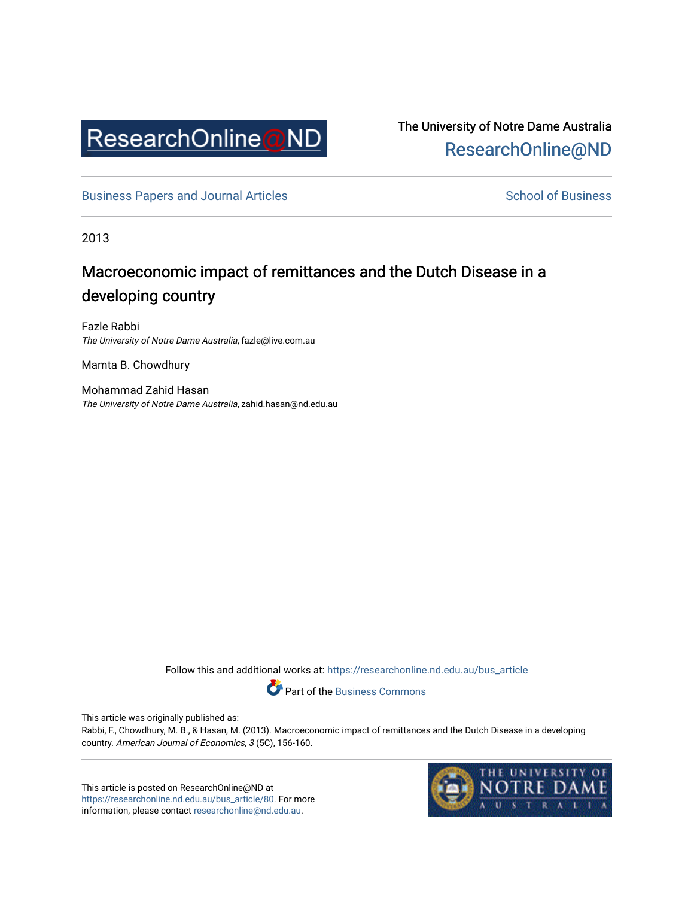

The University of Notre Dame Australia [ResearchOnline@ND](https://researchonline.nd.edu.au/) 

[Business Papers and Journal Articles](https://researchonline.nd.edu.au/bus_article) **School of Business** School of Business

2013

## Macroeconomic impact of remittances and the Dutch Disease in a developing country

Fazle Rabbi The University of Notre Dame Australia, fazle@live.com.au

Mamta B. Chowdhury

Mohammad Zahid Hasan The University of Notre Dame Australia, zahid.hasan@nd.edu.au

Follow this and additional works at: [https://researchonline.nd.edu.au/bus\\_article](https://researchonline.nd.edu.au/bus_article?utm_source=researchonline.nd.edu.au%2Fbus_article%2F80&utm_medium=PDF&utm_campaign=PDFCoverPages)

Part of the [Business Commons](http://network.bepress.com/hgg/discipline/622?utm_source=researchonline.nd.edu.au%2Fbus_article%2F80&utm_medium=PDF&utm_campaign=PDFCoverPages)

This article was originally published as:

Rabbi, F., Chowdhury, M. B., & Hasan, M. (2013). Macroeconomic impact of remittances and the Dutch Disease in a developing country. American Journal of Economics, 3 (5C), 156-160.

This article is posted on ResearchOnline@ND at [https://researchonline.nd.edu.au/bus\\_article/80.](https://researchonline.nd.edu.au/bus_article/80) For more information, please contact [researchonline@nd.edu.au.](mailto:researchonline@nd.edu.au)

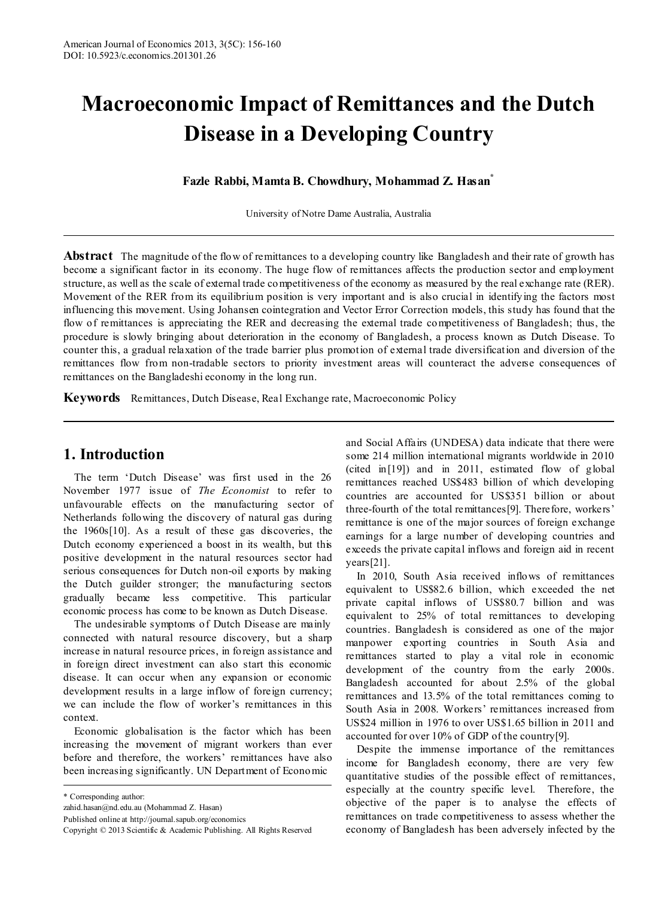# **Macroeconomic Impact of Remittances and the Dutch Disease in a Developing Country**

**Fazle Rabbi, Mamta B. Chowdhury, Mohammad Z. Hasan\***

University of Notre Dame Australia, Australia

**Abstract** The magnitude of the flow of remittances to a developing country like Bangladesh and their rate of growth has become a significant factor in its economy. The huge flow of remittances affects the production sector and employment structure, as well as the scale of external trade competitiveness of the economy as measured by the real exchange rate (RER). Movement of the RER from its equilibrium position is very important and is also crucial in identifying the factors most influencing this movement. Using Johansen cointegration and Vector Error Correction models, this study has found that the flow of remittances is appreciating the RER and decreasing the external trade competitiveness of Bangladesh; thus, the procedure is slowly bringing about deterioration in the economy of Bangladesh, a process known as Dutch Disease. To counter this, a gradual relaxation of the trade barrier plus promotion of external trade diversification and diversion of the remittances flow from non-tradable sectors to priority investment areas will counteract the adverse consequences of remittances on the Bangladeshi economy in the long run.

**Keywords** Remittances, Dutch Disease, Real Exchange rate, Macroeconomic Policy

#### **1. Introduction**

The term 'Dutch Disease' was first used in the 26 November 1977 issue of *The Economist* to refer to unfavourable effects on the manufacturing sector of Netherlands following the discovery of natural gas during the 1960s[10]. As a result of these gas discoveries, the Dutch economy experienced a boost in its wealth, but this positive development in the natural resources sector had serious consequences for Dutch non-oil exports by making the Dutch guilder stronger; the manufacturing sectors gradually became less competitive. This particular economic process has come to be known as Dutch Disease.

The undesirable symptoms of Dutch Disease are mainly connected with natural resource discovery, but a sharp increase in natural resource prices, in foreign assistance and in foreign direct investment can also start this economic disease. It can occur when any expansion or economic development results in a large inflow of foreign currency; we can include the flow of worker's remittances in this context.

Economic globalisation is the factor which has been increasing the movement of migrant workers than ever before and therefore, the workers' remittances have also been increasing significantly. UN Department of Economic

and Social Affairs (UNDESA) data indicate that there were some 214 million international migrants worldwide in 2010 (cited in[19]) and in 2011, estimated flow of global remittances reached US\$483 billion of which developing countries are accounted for US\$351 billion or about three-fourth of the total remittances[9]. Therefore, workers' remittance is one of the major sources of foreign exchange earnings for a large number of developing countries and exceeds the private capital inflows and foreign aid in recent years[21].

In 2010, South Asia received inflows of remittances equivalent to US\$82.6 billion, which exceeded the net private capital inflows of US\$80.7 billion and was equivalent to 25% of total remittances to developing countries. Bangladesh is considered as one of the major manpower exporting countries in South Asia and remittances started to play a vital role in economic development of the country from the early 2000s. Bangladesh accounted for about 2.5% of the global remittances and 13.5% of the total remittances coming to South Asia in 2008. Workers' remittances increased from US\$24 million in 1976 to over US\$1.65 billion in 2011 and accounted for over 10% of GDP of the country[9].

Despite the immense importance of the remittances income for Bangladesh economy, there are very few quantitative studies of the possible effect of remittances, especially at the country specific level. Therefore, the objective of the paper is to analyse the effects of remittances on trade competitiveness to assess whether the economy of Bangladesh has been adversely infected by the

<sup>\*</sup> Corresponding author:

zahid.hasan@nd.edu.au (Mohammad Z. Hasan)

Published online at http://journal.sapub.org/economics

Copyright © 2013 Scientific & Academic Publishing. All Rights Reserved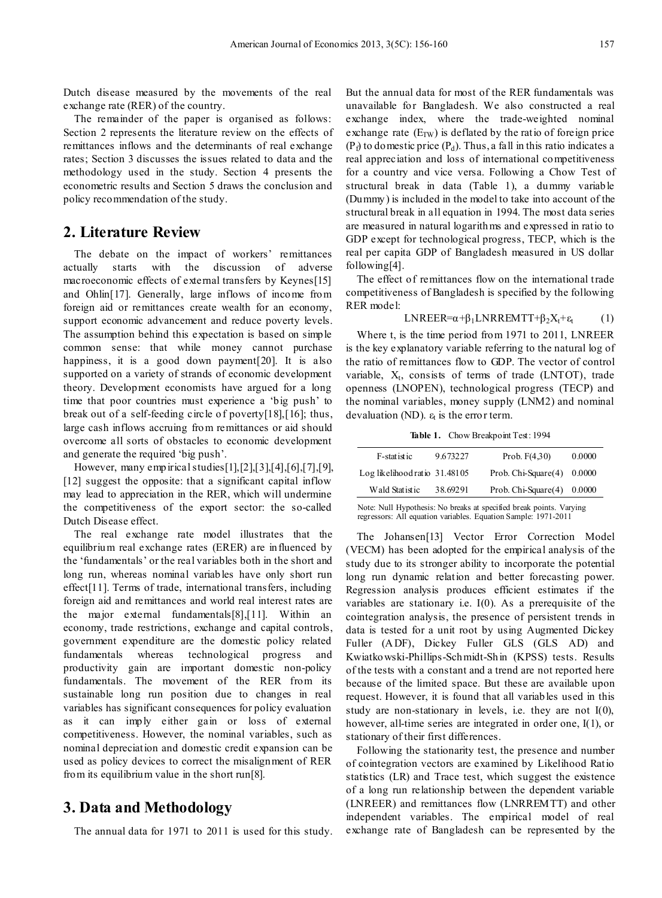Dutch disease measured by the movements of the real exchange rate (RER) of the country.

The remainder of the paper is organised as follows: Section 2 represents the literature review on the effects of remittances inflows and the determinants of real exchange rates; Section 3 discusses the issues related to data and the methodology used in the study. Section 4 presents the econometric results and Section 5 draws the conclusion and policy recommendation of the study.

#### **2. Literature Review**

The debate on the impact of workers' remittances actually starts with the discussion of adverse macroeconomic effects of external transfers by Keynes[15] and Ohlin[17]. Generally, large inflows of income from foreign aid or remittances create wealth for an economy, support economic advancement and reduce poverty levels. The assumption behind this expectation is based on simple common sense: that while money cannot purchase happiness, it is a good down payment [20]. It is also supported on a variety of strands of economic development theory. Development economists have argued for a long time that poor countries must experience a 'big push' to break out of a self-feeding circle of poverty[18],[16]; thus, large cash inflows accruing from remittances or aid should overcome all sorts of obstacles to economic development and generate the required 'big push'.

However, many empirical studies[1],[2],[3],[4],[6],[7],[9], [12] suggest the opposite: that a significant capital inflow may lead to appreciation in the RER, which will undermine the competitiveness of the export sector: the so-called Dutch Disease effect.

The real exchange rate model illustrates that the equilibrium real exchange rates (ERER) are influenced by the 'fundamentals' or the real variables both in the short and long run, whereas nominal variables have only short run effect[11]. Terms of trade, international transfers, including foreign aid and remittances and world real interest rates are the major external fundamentals[8],[11]. Within an economy, trade restrictions, exchange and capital controls, government expenditure are the domestic policy related fundamentals whereas technological progress and productivity gain are important domestic non-policy fundamentals. The movement of the RER from its sustainable long run position due to changes in real variables has significant consequences for policy evaluation as it can imply either gain or loss of external competitiveness. However, the nominal variables, such as nominal depreciation and domestic credit expansion can be used as policy devices to correct the misalignment of RER from its equilibrium value in the short run[8].

#### **3. Data and Methodology**

The annual data for 1971 to 2011 is used for this study.

But the annual data for most of the RER fundamentals was unavailable for Bangladesh. We also constructed a real exchange index, where the trade-weighted nominal exchange rate  $(E_{TW})$  is deflated by the ratio of foreign price  $(P_f)$  to domestic price  $(P_d)$ . Thus, a fall in this ratio indicates a real appreciation and loss of international competitiveness for a country and vice versa. Following a Chow Test of structural break in data (Table 1), a dummy variable (Dummy) is included in the model to take into account of the structural break in all equation in 1994. The most data series are measured in natural logarithms and expressed in ratio to GDP except for technological progress, TECP, which is the real per capita GDP of Bangladesh measured in US dollar following[4].

The effect of remittances flow on the international trade competitiveness of Bangladesh is specified by the following RER model:

$$
LNREER = \alpha + \beta_1 LNRREMTT + \beta_2 X_t + \varepsilon_t \tag{1}
$$

Where t, is the time period from 1971 to 2011, LNREER is the key explanatory variable referring to the natural log of the ratio of remittances flow to GDP. The vector of control variable,  $X_t$ , consists of terms of trade (LNTOT), trade openness (LNOPEN), technological progress (TECP) and the nominal variables, money supply (LNM2) and nominal devaluation (ND).  $\varepsilon_t$  is the error term.

Table 1. Chow Breakpoint Test: 1994

| F-statistic                   | 9.673227 | Prob. $F(4.30)$              | 0.0000 |
|-------------------------------|----------|------------------------------|--------|
| Log likelihood ratio 31.48105 |          | Prob. $Chi\text{-}Square(4)$ | 0.0000 |
| Wald Statistic                | 38.69291 | Prob. Chi-Square $(4)$       | 0.0000 |
|                               |          |                              |        |

Note: Null Hypothesis: No breaks at specified break points. Varying regressors: All equation variables. Equation Sample: 1971-2011

The Johansen[13] Vector Error Correction Model (VECM) has been adopted for the empirical analysis of the study due to its stronger ability to incorporate the potential long run dynamic relation and better forecasting power. Regression analysis produces efficient estimates if the variables are stationary i.e. I(0). As a prerequisite of the cointegration analysis, the presence of persistent trends in data is tested for a unit root by using Augmented Dickey Fuller (ADF), Dickey Fuller GLS (GLS AD) and Kwiatkowski-Phillips-Schmidt-Shin (KPSS) tests. Results of the tests with a constant and a trend are not reported here because of the limited space. But these are available upon request. However, it is found that all variables used in this study are non-stationary in levels, i.e. they are not I(0), however, all-time series are integrated in order one, I(1), or stationary of their first differences.

Following the stationarity test, the presence and number of cointegration vectors are examined by Likelihood Ratio statistics (LR) and Trace test, which suggest the existence of a long run relationship between the dependent variable (LNREER) and remittances flow (LNRREMTT) and other independent variables. The empirical model of real exchange rate of Bangladesh can be represented by the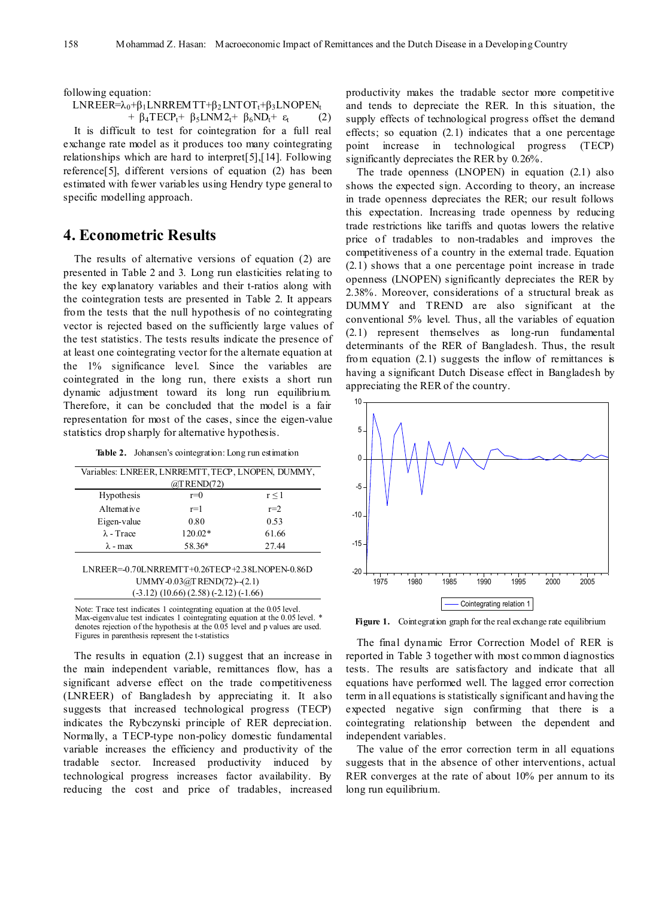following equation:

LNREER= $\lambda_0 + \beta_1 L$ NRREMTT+ $\beta_2 L$ NTOT<sub>t</sub>+ $\beta_3 L$ NOPEN<sub>t</sub> +  $\beta_4 \text{TECP}_t$ +  $\beta_5 \text{LNM2}_t$ +  $\beta_6 \text{ND}_t$ +  $\varepsilon_t$  (2)

It is difficult to test for cointegration for a full real exchange rate model as it produces too many cointegrating relationships which are hard to interpret[5],[14]. Following reference[5], different versions of equation (2) has been estimated with fewer variables using Hendry type general to specific modelling approach.

#### **4. Econometric Results**

The results of alternative versions of equation (2) are presented in Table 2 and 3. Long run elasticities relating to the key explanatory variables and their t-ratios along with the cointegration tests are presented in Table 2. It appears from the tests that the null hypothesis of no cointegrating vector is rejected based on the sufficiently large values of the test statistics. The tests results indicate the presence of at least one cointegrating vector for the alternate equation at the 1% significance level. Since the variables are cointegrated in the long run, there exists a short run dynamic adjustment toward its long run equilibrium. Therefore, it can be concluded that the model is a fair representation for most of the cases, since the eigen-value statistics drop sharply for alternative hypothesis.

Table 2. Johansen's cointegration: Long run estimation

| Variables: LNREER, LNRREMTT, TECP, LNOPEN, DUMMY,<br>$@$ TREND $(72)$ |         |       |  |  |  |  |
|-----------------------------------------------------------------------|---------|-------|--|--|--|--|
| Hypothesis                                                            | $r=0$   | r < 1 |  |  |  |  |
| Alternative                                                           | $r=1$   | $r=2$ |  |  |  |  |
| Eigen-value                                                           | 0.80    | 0.53  |  |  |  |  |
| $\lambda$ - Trace                                                     | 120.02* | 61.66 |  |  |  |  |
| $\lambda$ - max                                                       | 58.36*  | 27.44 |  |  |  |  |

#### LNREER=-0.70LNRREMTT+0.26TECP+2.38LNOPEN-0.86D UMMY-0.03@TREND(72)--(2.1) (-3.12) (10.66) (2.58) (-2.12) (-1.66)

Note: Trace test indicates 1 cointegrating equation at the 0.05 level. Max-eigenvalue test indicates 1 cointegrating equation at the 0.05 level. \* denotes rejection of the hypothesis at the 0.05 level and p values are used. Figures in parenthesis represent the t-statistics

The results in equation (2.1) suggest that an increase in the main independent variable, remittances flow, has a significant adverse effect on the trade competitiveness (LNREER) of Bangladesh by appreciating it. It also suggests that increased technological progress (TECP) indicates the Rybczynski principle of RER depreciation. Normally, a TECP-type non-policy domestic fundamental variable increases the efficiency and productivity of the tradable sector. Increased productivity induced by technological progress increases factor availability. By reducing the cost and price of tradables, increased productivity makes the tradable sector more competitive and tends to depreciate the RER. In this situation, the supply effects of technological progress offset the demand effects; so equation (2.1) indicates that a one percentage point increase in technological progress (TECP) significantly depreciates the RER by 0.26%.

The trade openness (LNOPEN) in equation (2.1) also shows the expected sign. According to theory, an increase in trade openness depreciates the RER; our result follows this expectation. Increasing trade openness by reducing trade restrictions like tariffs and quotas lowers the relative price of tradables to non-tradables and improves the competitiveness of a country in the external trade. Equation (2.1) shows that a one percentage point increase in trade openness (LNOPEN) significantly depreciates the RER by 2.38%. Moreover, considerations of a structural break as DUMMY and TREND are also significant at the conventional 5% level. Thus, all the variables of equation (2.1) represent themselves as long-run fundamental determinants of the RER of Bangladesh. Thus, the result from equation  $(2.1)$  suggests the inflow of remittances is having a significant Dutch Disease effect in Bangladesh by appreciating the RER of the country.



Figure 1. Cointegration graph for the real exchange rate equilibrium

The final dynamic Error Correction Model of RER is reported in Table 3 together with most common diagnostics tests. The results are satisfactory and indicate that all equations have performed well. The lagged error correction term in all equations is statistically significant and having the expected negative sign confirming that there is a cointegrating relationship between the dependent and independent variables.

The value of the error correction term in all equations suggests that in the absence of other interventions, actual RER converges at the rate of about 10% per annum to its long run equilibrium.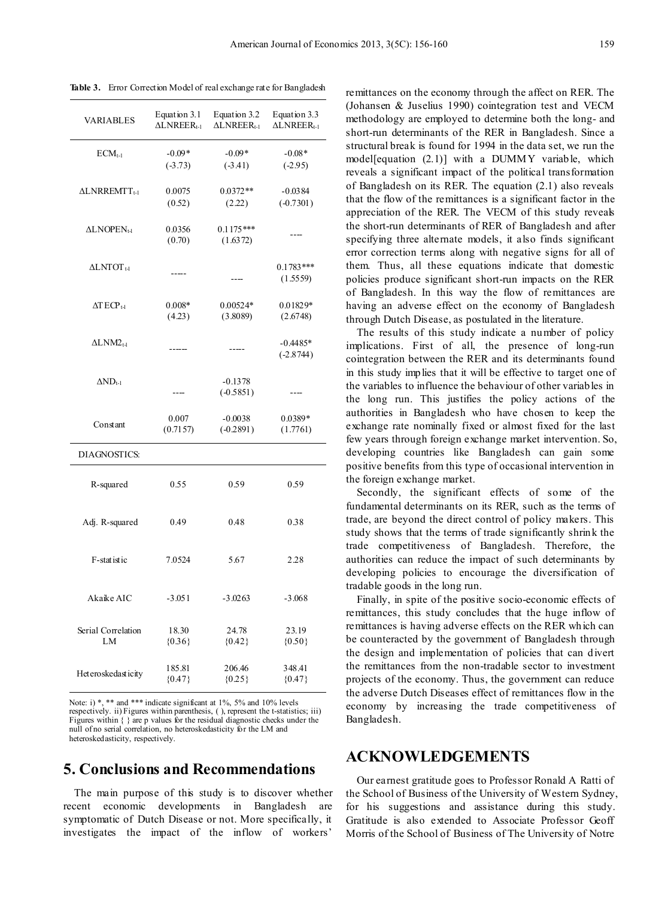| VARIABLES                   | Equation 3.1<br>$\triangle LNREER_{t-1}$ | Equation 3.2<br>$\triangle LNREER_{t-1}$ | Equation 3.3<br>$\triangle LNREER_{t-1}$ |
|-----------------------------|------------------------------------------|------------------------------------------|------------------------------------------|
| $ECM_{t-1}$                 | $-0.09*$<br>$(-3.73)$                    | $-0.09*$<br>$(-3.41)$                    | $-0.08*$<br>$(-2.95)$                    |
| ΔLNRREMTT <sub>t-1</sub>    | 0.0075<br>(0.52)                         | $0.0372**$<br>(2.22)                     | $-0.0384$<br>$(-0.7301)$                 |
| ALNOPEN <sub>t-1</sub>      | 0.0356<br>(0.70)                         | $0.1175***$<br>(1.6372)                  |                                          |
| ALNTOT 1-1                  |                                          |                                          | $0.1783$ ***<br>(1.5559)                 |
| $\Delta T ECP_{t\text{-}1}$ | $0.008*$<br>(4.23)                       | 0.00524*<br>(3.8089)                     | 0.01829*<br>(2.6748)                     |
| $\Delta LMM2_{14}$          |                                          |                                          | $-0.4485*$<br>$(-2.8744)$                |
| $\Delta \text{ND}_{t-1}$    | ----                                     | $-0.1378$<br>$(-0.5851)$                 |                                          |
| Constant                    | 0.007<br>(0.7157)                        | $-0.0038$<br>$(-0.2891)$                 | $0.0389*$<br>(1.7761)                    |
| DIAGNOSTICS:                |                                          |                                          |                                          |
| R-squared                   | 0.55                                     | 0.59                                     | 0.59                                     |
| Adj. R-squared              | 0.49                                     | 0.48                                     | 0.38                                     |
| F-statistic                 | 7.0524                                   | 5.67                                     | 2.28                                     |
| Akaike AIC                  | -3.051                                   | -3.0263                                  | $-3.068$                                 |
| Serial Correlation<br>LM    | 18.30<br>${0.36}$                        | 24.78<br>${0.42}$                        | 23.19<br>${0.50}$                        |
| Heteroskedasticity          | 185.81<br>${0.47}$                       | 206.46<br>${0.25}$                       | 348.41<br>${0.47}$                       |

**Table 3.** Error Correction Model of real exchange rate for Bangladesh

Note: i) \*, \*\* and \*\*\* indicate significant at 1%, 5% and 10% levels respectively. ii) Figures within parenthesis, ( ), represent the t-statistics; iii) Figures within { } are p values for the residual diagnostic checks under the null of no serial correlation, no heteroskedasticity for the LM and heteroskedasticity, respectively.

### **5. Conclusions and Recommendations**

The main purpose of this study is to discover whether recent economic developments in Bangladesh are symptomatic of Dutch Disease or not. More specifically, it investigates the impact of the inflow of workers'

remittances on the economy through the affect on RER. The (Johansen & Juselius 1990) cointegration test and VECM methodology are employed to determine both the long- and short-run determinants of the RER in Bangladesh. Since a structural break is found for 1994 in the data set, we run the model[equation (2.1)] with a DUMMY variable, which reveals a significant impact of the political transformation of Bangladesh on its RER. The equation (2.1) also reveals that the flow of the remittances is a significant factor in the appreciation of the RER. The VECM of this study reveals the short-run determinants of RER of Bangladesh and after specifying three alternate models, it also finds significant error correction terms along with negative signs for all of them. Thus, all these equations indicate that domestic policies produce significant short-run impacts on the RER of Bangladesh. In this way the flow of remittances are having an adverse effect on the economy of Bangladesh through Dutch Disease, as postulated in the literature.

The results of this study indicate a number of policy implications. First of all, the presence of long-run cointegration between the RER and its determinants found in this study implies that it will be effective to target one of the variables to influence the behaviour of other variables in the long run. This justifies the policy actions of the authorities in Bangladesh who have chosen to keep the exchange rate nominally fixed or almost fixed for the last few years through foreign exchange market intervention. So, developing countries like Bangladesh can gain some positive benefits from this type of occasional intervention in the foreign exchange market.

Secondly, the significant effects of some of the fundamental determinants on its RER, such as the terms of trade, are beyond the direct control of policy makers. This study shows that the terms of trade significantly shrink the trade competitiveness of Bangladesh. Therefore, the authorities can reduce the impact of such determinants by developing policies to encourage the diversification of tradable goods in the long run.

Finally, in spite of the positive socio-economic effects of remittances, this study concludes that the huge inflow of remittances is having adverse effects on the RER which can be counteracted by the government of Bangladesh through the design and implementation of policies that can divert the remittances from the non-tradable sector to investment projects of the economy. Thus, the government can reduce the adverse Dutch Diseases effect of remittances flow in the economy by increasing the trade competitiveness of Bangladesh.

#### **ACKNOWLEDGEMENTS**

Our earnest gratitude goes to Professor Ronald A Ratti of the School of Business of the University of Western Sydney, for his suggestions and assistance during this study. Gratitude is also extended to Associate Professor Geoff Morris of the School of Business of The University of Notre